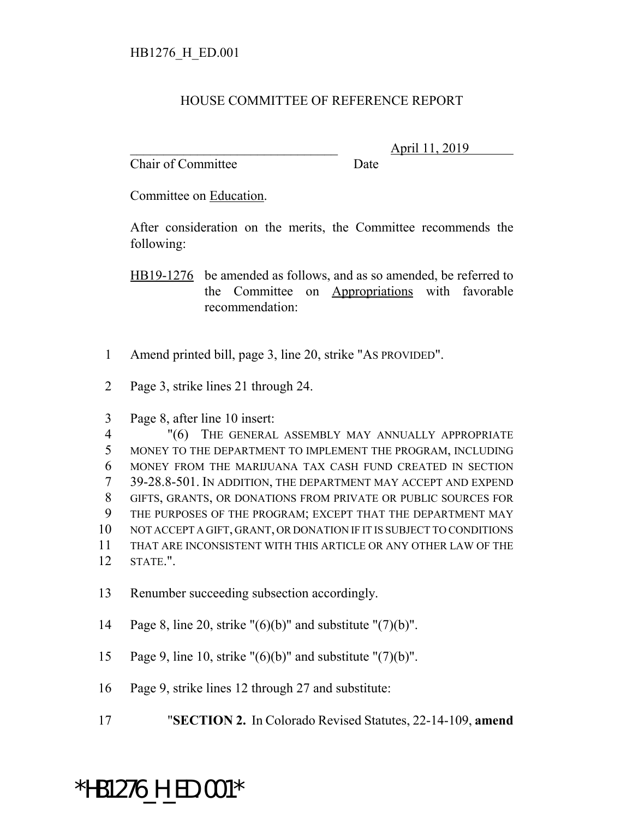## HOUSE COMMITTEE OF REFERENCE REPORT

Chair of Committee Date

\_\_\_\_\_\_\_\_\_\_\_\_\_\_\_\_\_\_\_\_\_\_\_\_\_\_\_\_\_\_\_ April 11, 2019

Committee on Education.

After consideration on the merits, the Committee recommends the following:

HB19-1276 be amended as follows, and as so amended, be referred to the Committee on Appropriations with favorable recommendation:

- 1 Amend printed bill, page 3, line 20, strike "AS PROVIDED".
- 2 Page 3, strike lines 21 through 24.
- 3 Page 8, after line 10 insert:

 "(6) THE GENERAL ASSEMBLY MAY ANNUALLY APPROPRIATE MONEY TO THE DEPARTMENT TO IMPLEMENT THE PROGRAM, INCLUDING MONEY FROM THE MARIJUANA TAX CASH FUND CREATED IN SECTION 39-28.8-501. IN ADDITION, THE DEPARTMENT MAY ACCEPT AND EXPEND GIFTS, GRANTS, OR DONATIONS FROM PRIVATE OR PUBLIC SOURCES FOR THE PURPOSES OF THE PROGRAM; EXCEPT THAT THE DEPARTMENT MAY NOT ACCEPT A GIFT, GRANT, OR DONATION IF IT IS SUBJECT TO CONDITIONS THAT ARE INCONSISTENT WITH THIS ARTICLE OR ANY OTHER LAW OF THE 12 STATE.".

- 13 Renumber succeeding subsection accordingly.
- 14 Page 8, line 20, strike " $(6)(b)$ " and substitute " $(7)(b)$ ".
- 15 Page 9, line 10, strike " $(6)(b)$ " and substitute " $(7)(b)$ ".
- 16 Page 9, strike lines 12 through 27 and substitute:
- 17 "**SECTION 2.** In Colorado Revised Statutes, 22-14-109, **amend**

## \*HB1276\_H\_ED.001\*